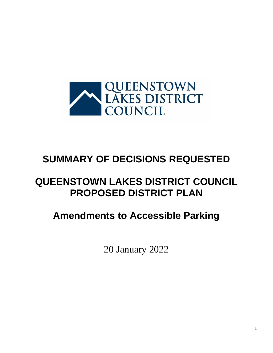

## **SUMMARY OF DECISIONS REQUESTED**

## **QUEENSTOWN LAKES DISTRICT COUNCIL PROPOSED DISTRICT PLAN**

## **Amendments to Accessible Parking**

20 January 2022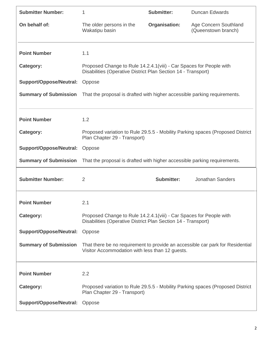| <b>Submitter Number:</b>       | 1                                                                                                                                     | Submitter:           | <b>Duncan Edwards</b>                                                          |
|--------------------------------|---------------------------------------------------------------------------------------------------------------------------------------|----------------------|--------------------------------------------------------------------------------|
| On behalf of:                  | The older persons in the<br>Wakatipu basin                                                                                            | <b>Organisation:</b> | Age Concern Southland<br>(Queenstown branch)                                   |
| <b>Point Number</b>            | 1.1                                                                                                                                   |                      |                                                                                |
| Category:                      | Proposed Change to Rule 14.2.4.1 (viii) - Car Spaces for People with<br>Disabilities (Operative District Plan Section 14 - Transport) |                      |                                                                                |
| <b>Support/Oppose/Neutral:</b> | Oppose                                                                                                                                |                      |                                                                                |
| <b>Summary of Submission</b>   | That the proposal is drafted with higher accessible parking requirements.                                                             |                      |                                                                                |
| <b>Point Number</b>            | 1.2                                                                                                                                   |                      |                                                                                |
| Category:                      | Proposed variation to Rule 29.5.5 - Mobility Parking spaces (Proposed District<br>Plan Chapter 29 - Transport)                        |                      |                                                                                |
| <b>Support/Oppose/Neutral:</b> | Oppose                                                                                                                                |                      |                                                                                |
| <b>Summary of Submission</b>   | That the proposal is drafted with higher accessible parking requirements.                                                             |                      |                                                                                |
| <b>Submitter Number:</b>       | $\overline{2}$                                                                                                                        | <b>Submitter:</b>    | <b>Jonathan Sanders</b>                                                        |
| <b>Point Number</b>            | 2.1                                                                                                                                   |                      |                                                                                |
| Category:                      | Proposed Change to Rule 14.2.4.1 (viii) - Car Spaces for People with<br>Disabilities (Operative District Plan Section 14 - Transport) |                      |                                                                                |
| <b>Support/Oppose/Neutral:</b> | Oppose                                                                                                                                |                      |                                                                                |
| <b>Summary of Submission</b>   | Visitor Accommodation with less than 12 guests.                                                                                       |                      | That there be no requirement to provide an accessible car park for Residential |
| <b>Point Number</b>            | 2.2                                                                                                                                   |                      |                                                                                |
| Category:                      | Plan Chapter 29 - Transport)                                                                                                          |                      | Proposed variation to Rule 29.5.5 - Mobility Parking spaces (Proposed District |
| <b>Support/Oppose/Neutral:</b> | Oppose                                                                                                                                |                      |                                                                                |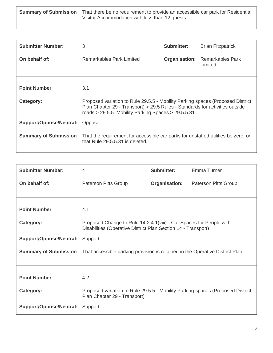**Summary of Submission** That there be no requirement to provide an accessible car park for Residential Visitor Accommodation with less than 12 guests.

| <b>Submitter Number:</b>       | 3                                                                                                                                                                                                                       | <b>Submitter:</b> | <b>Brian Fitzpatrick</b>                         |
|--------------------------------|-------------------------------------------------------------------------------------------------------------------------------------------------------------------------------------------------------------------------|-------------------|--------------------------------------------------|
| On behalf of:                  | Remarkables Park Limited                                                                                                                                                                                                |                   | <b>Organisation:</b> Remarkables Park<br>Limited |
| <b>Point Number</b>            | 3.1                                                                                                                                                                                                                     |                   |                                                  |
|                                |                                                                                                                                                                                                                         |                   |                                                  |
| Category:                      | Proposed variation to Rule 29.5.5 - Mobility Parking spaces (Proposed District<br>Plan Chapter 29 - Transport) > 29.5 Rules - Standards for activities outside<br>roads > 29.5.5. Mobility Parking Spaces > $29.5.5.31$ |                   |                                                  |
| Support/Oppose/Neutral: Oppose |                                                                                                                                                                                                                         |                   |                                                  |
| <b>Summary of Submission</b>   | That the requirement for accessible car parks for unstaffed utilities be zero, or<br>that Rule 29.5.5.31 is deleted.                                                                                                    |                   |                                                  |

| <b>Submitter Number:</b>       | 4                                                                                                                                     | <b>Submitter:</b>    | Emma Turner                 |
|--------------------------------|---------------------------------------------------------------------------------------------------------------------------------------|----------------------|-----------------------------|
| On behalf of:                  | Paterson Pitts Group                                                                                                                  | <b>Organisation:</b> | <b>Paterson Pitts Group</b> |
|                                |                                                                                                                                       |                      |                             |
| <b>Point Number</b>            | 4.1                                                                                                                                   |                      |                             |
| Category:                      | Proposed Change to Rule 14.2.4.1 (viii) - Car Spaces for People with<br>Disabilities (Operative District Plan Section 14 - Transport) |                      |                             |
| Support/Oppose/Neutral:        | Support                                                                                                                               |                      |                             |
|                                | <b>Summary of Submission</b> That accessible parking provision is retained in the Operative District Plan                             |                      |                             |
|                                |                                                                                                                                       |                      |                             |
| <b>Point Number</b>            | 4.2                                                                                                                                   |                      |                             |
| Category:                      | Proposed variation to Rule 29.5.5 - Mobility Parking spaces (Proposed District<br>Plan Chapter 29 - Transport)                        |                      |                             |
| <b>Support/Oppose/Neutral:</b> | Support                                                                                                                               |                      |                             |